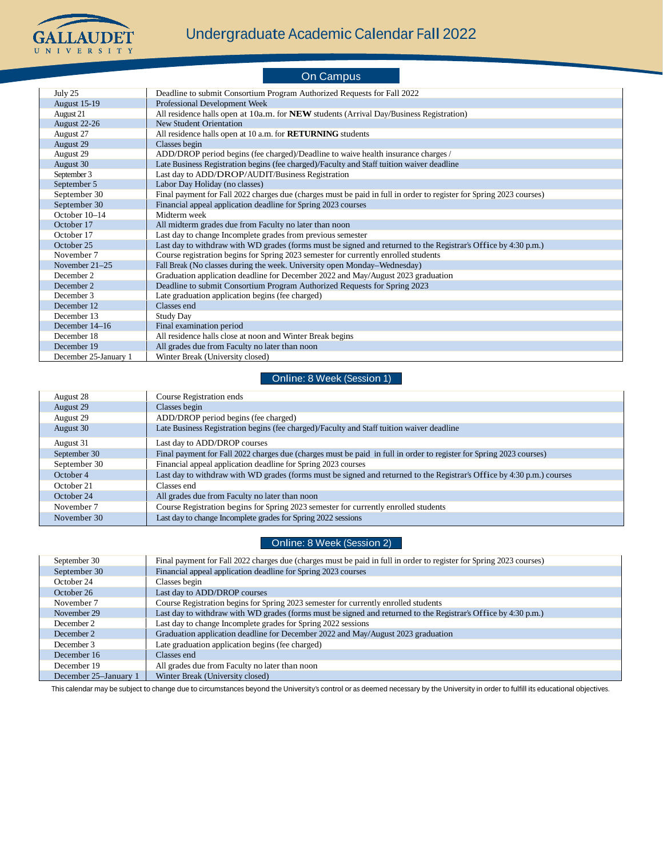

### On Campus July 25 Deadline to submit Consortium Program Authorized Requests for Fall 2022<br>August 15-19 Professional Development Week Professional Development Week August 21 All residence halls open at 10a.m. for **NEW** students (Arrival Day/Business Registration)<br>August 22-26 New Student Orientation New Student Orientation August 27 All residence halls open at 10 a.m. for **RETURNING** students August 29 August 29 Classes begin<br>August 29 ADD/DROP 1 August 29 ADD/DROP period begins (fee charged)/Deadline to waive health insurance charges /<br>August 30 Late Business Registration begins (fee charged)/Faculty and Staff tuition waiver deadline Late Business Registration begins (fee charged)/Faculty and Staff tuition waiver deadline

| September 3           | Last day to ADD/DROP/AUDIT/Business Registration                                                                    |
|-----------------------|---------------------------------------------------------------------------------------------------------------------|
| September 5           | Labor Day Holiday (no classes)                                                                                      |
| September 30          | Final payment for Fall 2022 charges due (charges must be paid in full in order to register for Spring 2023 courses) |
| September 30          | Financial appeal application deadline for Spring 2023 courses                                                       |
| October 10-14         | Midterm week                                                                                                        |
| October 17            | All midterm grades due from Faculty no later than noon                                                              |
| October 17            | Last day to change Incomplete grades from previous semester                                                         |
| October 25            | Last day to withdraw with WD grades (forms must be signed and returned to the Registrar's Office by 4:30 p.m.)      |
| November 7            | Course registration begins for Spring 2023 semester for currently enrolled students                                 |
| November $21-25$      | Fall Break (No classes during the week. University open Monday–Wednesday)                                           |
| December 2            | Graduation application deadline for December 2022 and May/August 2023 graduation                                    |
| December 2            | Deadline to submit Consortium Program Authorized Requests for Spring 2023                                           |
| December 3            | Late graduation application begins (fee charged)                                                                    |
| December 12           | Classes end                                                                                                         |
| December 13           | Study Day                                                                                                           |
| December 14–16        | Final examination period                                                                                            |
| December 18           | All residence halls close at noon and Winter Break begins                                                           |
| December 19           | All grades due from Faculty no later than noon                                                                      |
| December 25-January 1 | Winter Break (University closed)                                                                                    |

### Online: 8 Week (Session 1)

| August 28    | Course Registration ends                                                                                               |
|--------------|------------------------------------------------------------------------------------------------------------------------|
| August 29    | Classes begin                                                                                                          |
| August 29    | ADD/DROP period begins (fee charged)                                                                                   |
| August 30    | Late Business Registration begins (fee charged)/Faculty and Staff tuition waiver deadline                              |
| August 31    | Last day to ADD/DROP courses                                                                                           |
| September 30 | Final payment for Fall 2022 charges due (charges must be paid in full in order to register for Spring 2023 courses)    |
| September 30 | Financial appeal application deadline for Spring 2023 courses                                                          |
| October 4    | Last day to withdraw with WD grades (forms must be signed and returned to the Registrar's Office by 4:30 p.m.) courses |
| October 21   | Classes end                                                                                                            |
| October 24   | All grades due from Faculty no later than noon                                                                         |
| November 7   | Course Registration begins for Spring 2023 semester for currently enrolled students                                    |
| November 30  | Last day to change Incomplete grades for Spring 2022 sessions                                                          |
|              |                                                                                                                        |

#### Online: 8 Week (Session 2)

| September 30          | Final payment for Fall 2022 charges due (charges must be paid in full in order to register for Spring 2023 courses) |
|-----------------------|---------------------------------------------------------------------------------------------------------------------|
| September 30          | Financial appeal application deadline for Spring 2023 courses                                                       |
| October 24            | Classes begin                                                                                                       |
| October 26            | Last day to ADD/DROP courses                                                                                        |
| November 7            | Course Registration begins for Spring 2023 semester for currently enrolled students                                 |
| November 29           | Last day to withdraw with WD grades (forms must be signed and returned to the Registrar's Office by 4:30 p.m.)      |
| December 2            | Last day to change Incomplete grades for Spring 2022 sessions                                                       |
| December 2            | Graduation application deadline for December 2022 and May/August 2023 graduation                                    |
| December 3            | Late graduation application begins (fee charged)                                                                    |
| December 16           | Classes end                                                                                                         |
| December 19           | All grades due from Faculty no later than noon                                                                      |
| December 25–January 1 | Winter Break (University closed)                                                                                    |

This calendar may be subject to change due to circumstances beyond the University's control or as deemed necessary by the University in order to fulfill its educational objectives.